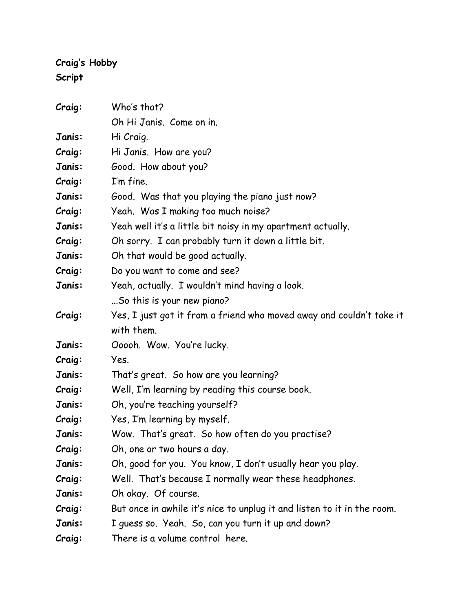## **Craig's Hobby Script**

| Craig: | Who's that?                                                             |
|--------|-------------------------------------------------------------------------|
|        | Oh Hi Janis. Come on in.                                                |
| Janis: | Hi Craig.                                                               |
| Craig: | Hi Janis. How are you?                                                  |
| Janis: | Good. How about you?                                                    |
| Craig: | I'm fine.                                                               |
| Janis: | Good. Was that you playing the piano just now?                          |
| Craig: | Yeah. Was I making too much noise?                                      |
| Janis: | Yeah well it's a little bit noisy in my apartment actually.             |
| Craig: | Oh sorry. I can probably turn it down a little bit.                     |
| Janis: | Oh that would be good actually.                                         |
| Craig: | Do you want to come and see?                                            |
| Janis: | Yeah, actually. I wouldn't mind having a look.                          |
|        | So this is your new piano?                                              |
| Craig: | Yes, I just got it from a friend who moved away and couldn't take it    |
|        | with them.                                                              |
| Janis: | Ooooh. Wow. You're lucky.                                               |
| Craig: | Yes.                                                                    |
| Janis: | That's great. So how are you learning?                                  |
| Craig: | Well, I'm learning by reading this course book.                         |
| Janis: | Oh, you're teaching yourself?                                           |
| Craig: | Yes, I'm learning by myself.                                            |
| Janis: | Wow. That's great. So how often do you practise?                        |
| Craig: | Oh, one or two hours a day.                                             |
| Janis: | Oh, good for you. You know, I don't usually hear you play.              |
| Craig: | Well. That's because I normally wear these headphones.                  |
| Janis: | Oh okay. Of course.                                                     |
| Craig: | But once in awhile it's nice to unplug it and listen to it in the room. |
| Janis: | I guess so. Yeah. So, can you turn it up and down?                      |
| Craig: | There is a volume control here.                                         |